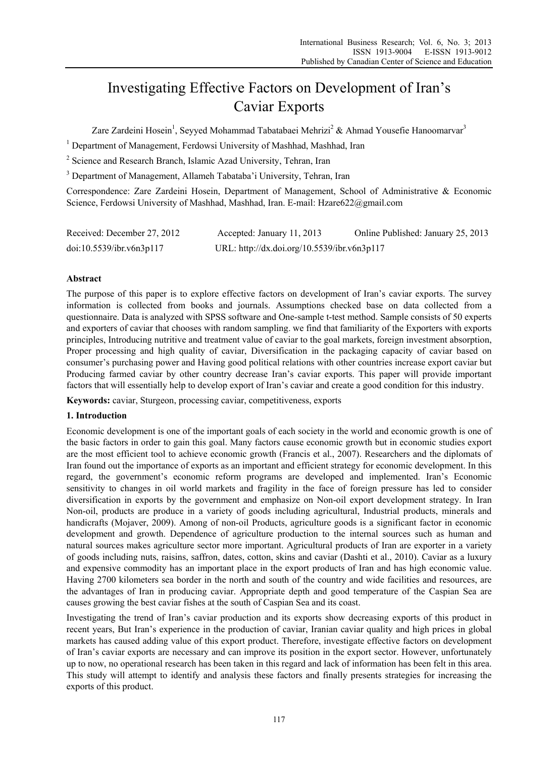# Investigating Effective Factors on Development of Iran's Caviar Exports

Zare Zardeini Hosein<sup>1</sup>, Seyyed Mohammad Tabatabaei Mehrizi<sup>2</sup> & Ahmad Yousefie Hanoomarvar<sup>3</sup>

<sup>1</sup> Department of Management, Ferdowsi University of Mashhad, Mashhad, Iran

<sup>2</sup> Science and Research Branch, Islamic Azad University, Tehran, Iran

<sup>3</sup> Department of Management, Allameh Tabataba'i University, Tehran, Iran

Correspondence: Zare Zardeini Hosein, Department of Management, School of Administrative & Economic Science, Ferdowsi University of Mashhad, Mashhad, Iran. E-mail: Hzare622@gmail.com

| Received: December 27, 2012 | Accepted: January 11, 2013                  | Online Published: January 25, 2013 |
|-----------------------------|---------------------------------------------|------------------------------------|
| doi:10.5539/ibr.v6n3p117    | URL: http://dx.doi.org/10.5539/ibr.v6n3p117 |                                    |

# **Abstract**

The purpose of this paper is to explore effective factors on development of Iran's caviar exports. The survey information is collected from books and journals. Assumptions checked base on data collected from a questionnaire. Data is analyzed with SPSS software and One-sample t-test method. Sample consists of 50 experts and exporters of caviar that chooses with random sampling. we find that familiarity of the Exporters with exports principles, Introducing nutritive and treatment value of caviar to the goal markets, foreign investment absorption, Proper processing and high quality of caviar, Diversification in the packaging capacity of caviar based on consumer's purchasing power and Having good political relations with other countries increase export caviar but Producing farmed caviar by other country decrease Iran's caviar exports. This paper will provide important factors that will essentially help to develop export of Iran's caviar and create a good condition for this industry.

**Keywords:** caviar, Sturgeon, processing caviar, competitiveness, exports

#### **1. Introduction**

Economic development is one of the important goals of each society in the world and economic growth is one of the basic factors in order to gain this goal. Many factors cause economic growth but in economic studies export are the most efficient tool to achieve economic growth (Francis et al., 2007). Researchers and the diplomats of Iran found out the importance of exports as an important and efficient strategy for economic development. In this regard, the government's economic reform programs are developed and implemented. Iran's Economic sensitivity to changes in oil world markets and fragility in the face of foreign pressure has led to consider diversification in exports by the government and emphasize on Non-oil export development strategy. In Iran Non-oil, products are produce in a variety of goods including agricultural, Industrial products, minerals and handicrafts (Mojaver, 2009). Among of non-oil Products, agriculture goods is a significant factor in economic development and growth. Dependence of agriculture production to the internal sources such as human and natural sources makes agriculture sector more important. Agricultural products of Iran are exporter in a variety of goods including nuts, raisins, saffron, dates, cotton, skins and caviar (Dashti et al., 2010). Caviar as a luxury and expensive commodity has an important place in the export products of Iran and has high economic value. Having 2700 kilometers sea border in the north and south of the country and wide facilities and resources, are the advantages of Iran in producing caviar. Appropriate depth and good temperature of the Caspian Sea are causes growing the best caviar fishes at the south of Caspian Sea and its coast.

Investigating the trend of Iran's caviar production and its exports show decreasing exports of this product in recent years, But Iran's experience in the production of caviar, Iranian caviar quality and high prices in global markets has caused adding value of this export product. Therefore, investigate effective factors on development of Iran's caviar exports are necessary and can improve its position in the export sector. However, unfortunately up to now, no operational research has been taken in this regard and lack of information has been felt in this area. This study will attempt to identify and analysis these factors and finally presents strategies for increasing the exports of this product.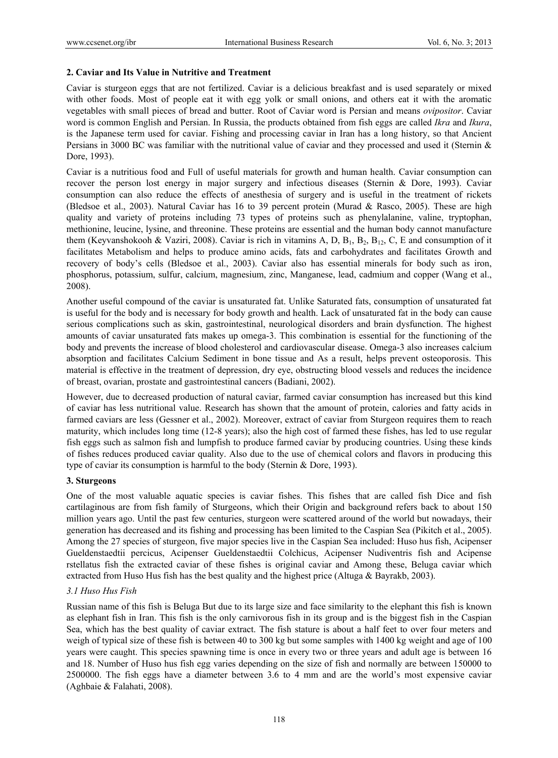# **2. Caviar and Its Value in Nutritive and Treatment**

Caviar is sturgeon eggs that are not fertilized. Caviar is a delicious breakfast and is used separately or mixed with other foods. Most of people eat it with egg yolk or small onions, and others eat it with the aromatic vegetables with small pieces of bread and butter. Root of Caviar word is Persian and means *ovipositor*. Caviar word is common English and Persian. In Russia, the products obtained from fish eggs are called *Ikra* and *Ikura*, is the Japanese term used for caviar. Fishing and processing caviar in Iran has a long history, so that Ancient Persians in 3000 BC was familiar with the nutritional value of caviar and they processed and used it (Sternin & Dore, 1993).

Caviar is a nutritious food and Full of useful materials for growth and human health. Caviar consumption can recover the person lost energy in major surgery and infectious diseases (Sternin & Dore, 1993). Caviar consumption can also reduce the effects of anesthesia of surgery and is useful in the treatment of rickets (Bledsoe et al., 2003). Natural Caviar has 16 to 39 percent protein (Murad & Rasco, 2005). These are high quality and variety of proteins including 73 types of proteins such as phenylalanine, valine, tryptophan, methionine, leucine, lysine, and threonine. These proteins are essential and the human body cannot manufacture them (Keyvanshokooh & Vaziri, 2008). Caviar is rich in vitamins A, D, B<sub>1</sub>, B<sub>2</sub>, B<sub>12</sub>, C, E and consumption of it facilitates Metabolism and helps to produce amino acids, fats and carbohydrates and facilitates Growth and recovery of body's cells (Bledsoe et al., 2003). Caviar also has essential minerals for body such as iron, phosphorus, potassium, sulfur, calcium, magnesium, zinc, Manganese, lead, cadmium and copper (Wang et al., 2008).

Another useful compound of the caviar is unsaturated fat. Unlike Saturated fats, consumption of unsaturated fat is useful for the body and is necessary for body growth and health. Lack of unsaturated fat in the body can cause serious complications such as skin, gastrointestinal, neurological disorders and brain dysfunction. The highest amounts of caviar unsaturated fats makes up omega-3. This combination is essential for the functioning of the body and prevents the increase of blood cholesterol and cardiovascular disease. Omega-3 also increases calcium absorption and facilitates Calcium Sediment in bone tissue and As a result, helps prevent osteoporosis. This material is effective in the treatment of depression, dry eye, obstructing blood vessels and reduces the incidence of breast, ovarian, prostate and gastrointestinal cancers (Badiani, 2002).

However, due to decreased production of natural caviar, farmed caviar consumption has increased but this kind of caviar has less nutritional value. Research has shown that the amount of protein, calories and fatty acids in farmed caviars are less (Gessner et al., 2002). Moreover, extract of caviar from Sturgeon requires them to reach maturity, which includes long time (12-8 years); also the high cost of farmed these fishes, has led to use regular fish eggs such as salmon fish and lumpfish to produce farmed caviar by producing countries. Using these kinds of fishes reduces produced caviar quality. Also due to the use of chemical colors and flavors in producing this type of caviar its consumption is harmful to the body (Sternin & Dore, 1993).

#### **3. Sturgeons**

One of the most valuable aquatic species is caviar fishes. This fishes that are called fish Dice and fish cartilaginous are from fish family of Sturgeons, which their Origin and background refers back to about 150 million years ago. Until the past few centuries, sturgeon were scattered around of the world but nowadays, their generation has decreased and its fishing and processing has been limited to the Caspian Sea (Pikitch et al., 2005). Among the 27 species of sturgeon, five major species live in the Caspian Sea included: Huso hus fish, Acipenser Gueldenstaedtii percicus, Acipenser Gueldenstaedtii Colchicus, Acipenser Nudiventris fish and Acipense rstellatus fish the extracted caviar of these fishes is original caviar and Among these, Beluga caviar which extracted from Huso Hus fish has the best quality and the highest price (Altuga & Bayrakb, 2003).

#### *3.1 Huso Hus Fish*

Russian name of this fish is Beluga But due to its large size and face similarity to the elephant this fish is known as elephant fish in Iran. This fish is the only carnivorous fish in its group and is the biggest fish in the Caspian Sea, which has the best quality of caviar extract. The fish stature is about a half feet to over four meters and weigh of typical size of these fish is between 40 to 300 kg but some samples with 1400 kg weight and age of 100 years were caught. This species spawning time is once in every two or three years and adult age is between 16 and 18. Number of Huso hus fish egg varies depending on the size of fish and normally are between 150000 to 2500000. The fish eggs have a diameter between 3.6 to 4 mm and are the world's most expensive caviar (Aghbaie & Falahati, 2008).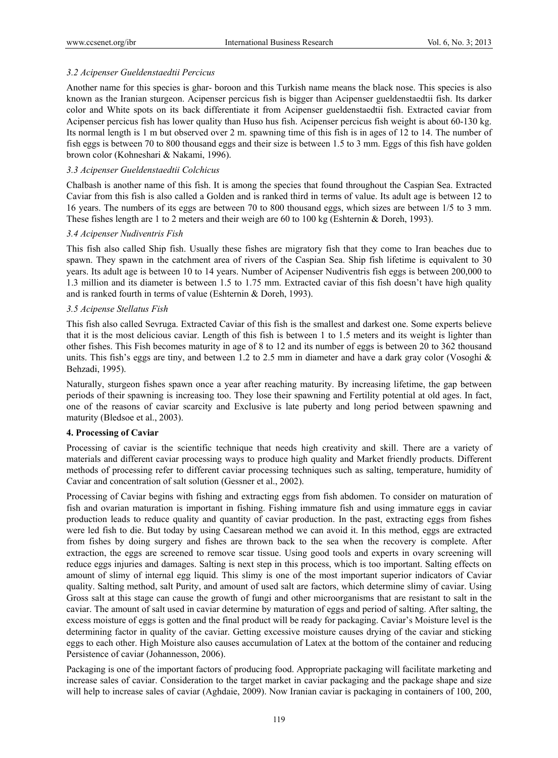# *3.2 Acipenser Gueldenstaedtii Percicus*

Another name for this species is ghar- boroon and this Turkish name means the black nose. This species is also known as the Iranian sturgeon. Acipenser percicus fish is bigger than Acipenser gueldenstaedtii fish. Its darker color and White spots on its back differentiate it from Acipenser gueldenstaedtii fish. Extracted caviar from Acipenser percicus fish has lower quality than Huso hus fish. Acipenser percicus fish weight is about 60-130 kg. Its normal length is 1 m but observed over 2 m. spawning time of this fish is in ages of 12 to 14. The number of fish eggs is between 70 to 800 thousand eggs and their size is between 1.5 to 3 mm. Eggs of this fish have golden brown color (Kohneshari & Nakami, 1996).

#### *3.3 Acipenser Gueldenstaedtii Colchicus*

Chalbash is another name of this fish. It is among the species that found throughout the Caspian Sea. Extracted Caviar from this fish is also called a Golden and is ranked third in terms of value. Its adult age is between 12 to 16 years. The numbers of its eggs are between 70 to 800 thousand eggs, which sizes are between 1/5 to 3 mm. These fishes length are 1 to 2 meters and their weigh are 60 to 100 kg (Eshternin & Doreh, 1993).

# *3.4 Acipenser Nudiventris Fish*

This fish also called Ship fish. Usually these fishes are migratory fish that they come to Iran beaches due to spawn. They spawn in the catchment area of rivers of the Caspian Sea. Ship fish lifetime is equivalent to 30 years. Its adult age is between 10 to 14 years. Number of Acipenser Nudiventris fish eggs is between 200,000 to 1.3 million and its diameter is between 1.5 to 1.75 mm. Extracted caviar of this fish doesn't have high quality and is ranked fourth in terms of value (Eshternin & Doreh, 1993).

# *3.5 Acipense Stellatus Fish*

This fish also called Sevruga. Extracted Caviar of this fish is the smallest and darkest one. Some experts believe that it is the most delicious caviar. Length of this fish is between 1 to 1.5 meters and its weight is lighter than other fishes. This Fish becomes maturity in age of 8 to 12 and its number of eggs is between 20 to 362 thousand units. This fish's eggs are tiny, and between 1.2 to 2.5 mm in diameter and have a dark gray color (Vosoghi & Behzadi, 1995).

Naturally, sturgeon fishes spawn once a year after reaching maturity. By increasing lifetime, the gap between periods of their spawning is increasing too. They lose their spawning and Fertility potential at old ages. In fact, one of the reasons of caviar scarcity and Exclusive is late puberty and long period between spawning and maturity (Bledsoe et al., 2003).

#### **4. Processing of Caviar**

Processing of caviar is the scientific technique that needs high creativity and skill. There are a variety of materials and different caviar processing ways to produce high quality and Market friendly products. Different methods of processing refer to different caviar processing techniques such as salting, temperature, humidity of Caviar and concentration of salt solution (Gessner et al., 2002).

Processing of Caviar begins with fishing and extracting eggs from fish abdomen. To consider on maturation of fish and ovarian maturation is important in fishing. Fishing immature fish and using immature eggs in caviar production leads to reduce quality and quantity of caviar production. In the past, extracting eggs from fishes were led fish to die. But today by using Caesarean method we can avoid it. In this method, eggs are extracted from fishes by doing surgery and fishes are thrown back to the sea when the recovery is complete. After extraction, the eggs are screened to remove scar tissue. Using good tools and experts in ovary screening will reduce eggs injuries and damages. Salting is next step in this process, which is too important. Salting effects on amount of slimy of internal egg liquid. This slimy is one of the most important superior indicators of Caviar quality. Salting method, salt Purity, and amount of used salt are factors, which determine slimy of caviar. Using Gross salt at this stage can cause the growth of fungi and other microorganisms that are resistant to salt in the caviar. The amount of salt used in caviar determine by maturation of eggs and period of salting. After salting, the excess moisture of eggs is gotten and the final product will be ready for packaging. Caviar's Moisture level is the determining factor in quality of the caviar. Getting excessive moisture causes drying of the caviar and sticking eggs to each other. High Moisture also causes accumulation of Latex at the bottom of the container and reducing Persistence of caviar (Johannesson, 2006).

Packaging is one of the important factors of producing food. Appropriate packaging will facilitate marketing and increase sales of caviar. Consideration to the target market in caviar packaging and the package shape and size will help to increase sales of caviar (Aghdaie, 2009). Now Iranian caviar is packaging in containers of 100, 200,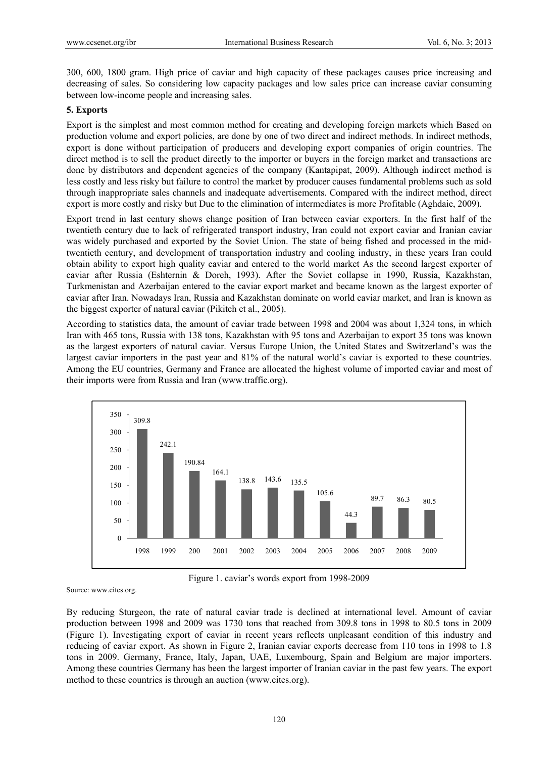300, 600, 1800 gram. High price of caviar and high capacity of these packages causes price increasing and decreasing of sales. So considering low capacity packages and low sales price can increase caviar consuming between low-income people and increasing sales.

# **5. Exports**

Export is the simplest and most common method for creating and developing foreign markets which Based on production volume and export policies, are done by one of two direct and indirect methods. In indirect methods, export is done without participation of producers and developing export companies of origin countries. The direct method is to sell the product directly to the importer or buyers in the foreign market and transactions are done by distributors and dependent agencies of the company (Kantapipat, 2009). Although indirect method is less costly and less risky but failure to control the market by producer causes fundamental problems such as sold through inappropriate sales channels and inadequate advertisements. Compared with the indirect method, direct export is more costly and risky but Due to the elimination of intermediates is more Profitable (Aghdaie, 2009).

Export trend in last century shows change position of Iran between caviar exporters. In the first half of the twentieth century due to lack of refrigerated transport industry, Iran could not export caviar and Iranian caviar was widely purchased and exported by the Soviet Union. The state of being fished and processed in the midtwentieth century, and development of transportation industry and cooling industry, in these years Iran could obtain ability to export high quality caviar and entered to the world market As the second largest exporter of caviar after Russia (Eshternin & Doreh, 1993). After the Soviet collapse in 1990, Russia, Kazakhstan, Turkmenistan and Azerbaijan entered to the caviar export market and became known as the largest exporter of caviar after Iran. Nowadays Iran, Russia and Kazakhstan dominate on world caviar market, and Iran is known as the biggest exporter of natural caviar (Pikitch et al., 2005).

According to statistics data, the amount of caviar trade between 1998 and 2004 was about 1,324 tons, in which Iran with 465 tons, Russia with 138 tons, Kazakhstan with 95 tons and Azerbaijan to export 35 tons was known as the largest exporters of natural caviar. Versus Europe Union, the United States and Switzerland's was the largest caviar importers in the past year and 81% of the natural world's caviar is exported to these countries. Among the EU countries, Germany and France are allocated the highest volume of imported caviar and most of their imports were from Russia and Iran (www.traffic.org).



Figure 1. caviar's words export from 1998-2009

Source: www.cites.org.

By reducing Sturgeon, the rate of natural caviar trade is declined at international level. Amount of caviar production between 1998 and 2009 was 1730 tons that reached from 309.8 tons in 1998 to 80.5 tons in 2009 (Figure 1). Investigating export of caviar in recent years reflects unpleasant condition of this industry and reducing of caviar export. As shown in Figure 2, Iranian caviar exports decrease from 110 tons in 1998 to 1.8 tons in 2009. Germany, France, Italy, Japan, UAE, Luxembourg, Spain and Belgium are major importers. Among these countries Germany has been the largest importer of Iranian caviar in the past few years. The export method to these countries is through an auction (www.cites.org).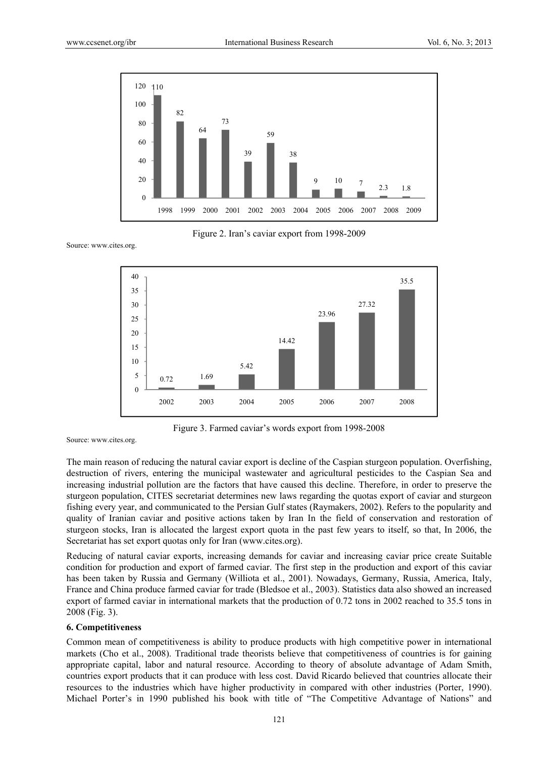

Figure 2. Iran's caviar export from 1998-2009

Source: www.cites.org.



Figure 3. Farmed caviar's words export from 1998-2008

Source: www.cites.org.

The main reason of reducing the natural caviar export is decline of the Caspian sturgeon population. Overfishing, destruction of rivers, entering the municipal wastewater and agricultural pesticides to the Caspian Sea and increasing industrial pollution are the factors that have caused this decline. Therefore, in order to preserve the sturgeon population, CITES secretariat determines new laws regarding the quotas export of caviar and sturgeon fishing every year, and communicated to the Persian Gulf states (Raymakers, 2002). Refers to the popularity and quality of Iranian caviar and positive actions taken by Iran In the field of conservation and restoration of sturgeon stocks, Iran is allocated the largest export quota in the past few years to itself, so that, In 2006, the Secretariat has set export quotas only for Iran (www.cites.org).

Reducing of natural caviar exports, increasing demands for caviar and increasing caviar price create Suitable condition for production and export of farmed caviar. The first step in the production and export of this caviar has been taken by Russia and Germany (Williota et al., 2001). Nowadays, Germany, Russia, America, Italy, France and China produce farmed caviar for trade (Bledsoe et al., 2003). Statistics data also showed an increased export of farmed caviar in international markets that the production of 0.72 tons in 2002 reached to 35.5 tons in 2008 (Fig. 3).

#### **6. Competitiveness**

Common mean of competitiveness is ability to produce products with high competitive power in international markets (Cho et al., 2008). Traditional trade theorists believe that competitiveness of countries is for gaining appropriate capital, labor and natural resource. According to theory of absolute advantage of Adam Smith, countries export products that it can produce with less cost. David Ricardo believed that countries allocate their resources to the industries which have higher productivity in compared with other industries (Porter, 1990). Michael Porter's in 1990 published his book with title of "The Competitive Advantage of Nations" and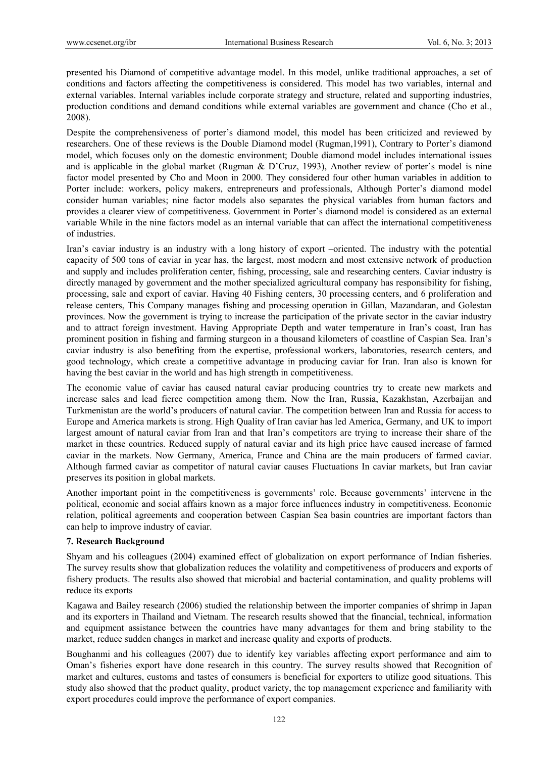presented his Diamond of competitive advantage model. In this model, unlike traditional approaches, a set of conditions and factors affecting the competitiveness is considered. This model has two variables, internal and external variables. Internal variables include corporate strategy and structure, related and supporting industries, production conditions and demand conditions while external variables are government and chance (Cho et al., 2008).

Despite the comprehensiveness of porter's diamond model, this model has been criticized and reviewed by researchers. One of these reviews is the Double Diamond model (Rugman,1991), Contrary to Porter's diamond model, which focuses only on the domestic environment; Double diamond model includes international issues and is applicable in the global market (Rugman & D'Cruz, 1993), Another review of porter's model is nine factor model presented by Cho and Moon in 2000. They considered four other human variables in addition to Porter include: workers, policy makers, entrepreneurs and professionals, Although Porter's diamond model consider human variables; nine factor models also separates the physical variables from human factors and provides a clearer view of competitiveness. Government in Porter's diamond model is considered as an external variable While in the nine factors model as an internal variable that can affect the international competitiveness of industries.

Iran's caviar industry is an industry with a long history of export –oriented. The industry with the potential capacity of 500 tons of caviar in year has, the largest, most modern and most extensive network of production and supply and includes proliferation center, fishing, processing, sale and researching centers. Caviar industry is directly managed by government and the mother specialized agricultural company has responsibility for fishing, processing, sale and export of caviar. Having 40 Fishing centers, 30 processing centers, and 6 proliferation and release centers, This Company manages fishing and processing operation in Gillan, Mazandaran, and Golestan provinces. Now the government is trying to increase the participation of the private sector in the caviar industry and to attract foreign investment. Having Appropriate Depth and water temperature in Iran's coast, Iran has prominent position in fishing and farming sturgeon in a thousand kilometers of coastline of Caspian Sea. Iran's caviar industry is also benefiting from the expertise, professional workers, laboratories, research centers, and good technology, which create a competitive advantage in producing caviar for Iran. Iran also is known for having the best caviar in the world and has high strength in competitiveness.

The economic value of caviar has caused natural caviar producing countries try to create new markets and increase sales and lead fierce competition among them. Now the Iran, Russia, Kazakhstan, Azerbaijan and Turkmenistan are the world's producers of natural caviar. The competition between Iran and Russia for access to Europe and America markets is strong. High Quality of Iran caviar has led America, Germany, and UK to import largest amount of natural caviar from Iran and that Iran's competitors are trying to increase their share of the market in these countries. Reduced supply of natural caviar and its high price have caused increase of farmed caviar in the markets. Now Germany, America, France and China are the main producers of farmed caviar. Although farmed caviar as competitor of natural caviar causes Fluctuations In caviar markets, but Iran caviar preserves its position in global markets.

Another important point in the competitiveness is governments' role. Because governments' intervene in the political, economic and social affairs known as a major force influences industry in competitiveness. Economic relation, political agreements and cooperation between Caspian Sea basin countries are important factors than can help to improve industry of caviar.

#### **7. Research Background**

Shyam and his colleagues (2004) examined effect of globalization on export performance of Indian fisheries. The survey results show that globalization reduces the volatility and competitiveness of producers and exports of fishery products. The results also showed that microbial and bacterial contamination, and quality problems will reduce its exports

Kagawa and Bailey research (2006) studied the relationship between the importer companies of shrimp in Japan and its exporters in Thailand and Vietnam. The research results showed that the financial, technical, information and equipment assistance between the countries have many advantages for them and bring stability to the market, reduce sudden changes in market and increase quality and exports of products.

Boughanmi and his colleagues (2007) due to identify key variables affecting export performance and aim to Oman's fisheries export have done research in this country. The survey results showed that Recognition of market and cultures, customs and tastes of consumers is beneficial for exporters to utilize good situations. This study also showed that the product quality, product variety, the top management experience and familiarity with export procedures could improve the performance of export companies.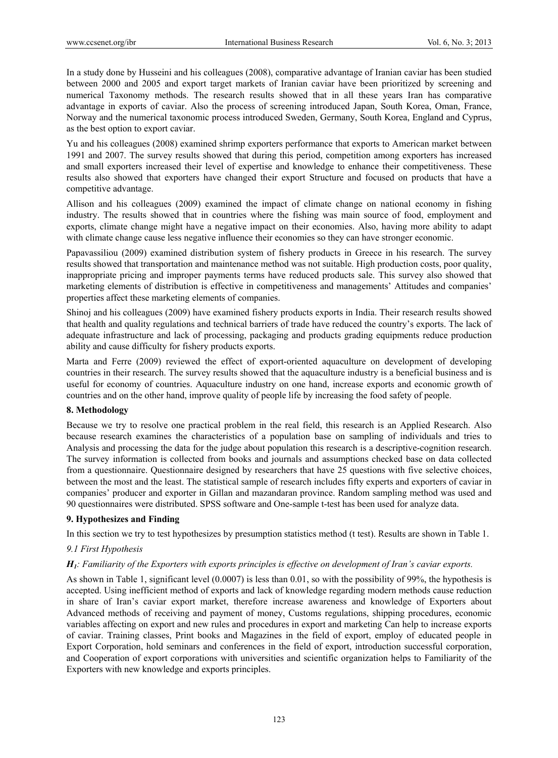In a study done by Husseini and his colleagues (2008), comparative advantage of Iranian caviar has been studied between 2000 and 2005 and export target markets of Iranian caviar have been prioritized by screening and numerical Taxonomy methods. The research results showed that in all these years Iran has comparative advantage in exports of caviar. Also the process of screening introduced Japan, South Korea, Oman, France, Norway and the numerical taxonomic process introduced Sweden, Germany, South Korea, England and Cyprus, as the best option to export caviar.

Yu and his colleagues (2008) examined shrimp exporters performance that exports to American market between 1991 and 2007. The survey results showed that during this period, competition among exporters has increased and small exporters increased their level of expertise and knowledge to enhance their competitiveness. These results also showed that exporters have changed their export Structure and focused on products that have a competitive advantage.

Allison and his colleagues (2009) examined the impact of climate change on national economy in fishing industry. The results showed that in countries where the fishing was main source of food, employment and exports, climate change might have a negative impact on their economies. Also, having more ability to adapt with climate change cause less negative influence their economies so they can have stronger economic.

Papavassiliou (2009) examined distribution system of fishery products in Greece in his research. The survey results showed that transportation and maintenance method was not suitable. High production costs, poor quality, inappropriate pricing and improper payments terms have reduced products sale. This survey also showed that marketing elements of distribution is effective in competitiveness and managements' Attitudes and companies' properties affect these marketing elements of companies.

Shinoj and his colleagues (2009) have examined fishery products exports in India. Their research results showed that health and quality regulations and technical barriers of trade have reduced the country's exports. The lack of adequate infrastructure and lack of processing, packaging and products grading equipments reduce production ability and cause difficulty for fishery products exports.

Marta and Ferre (2009) reviewed the effect of export-oriented aquaculture on development of developing countries in their research. The survey results showed that the aquaculture industry is a beneficial business and is useful for economy of countries. Aquaculture industry on one hand, increase exports and economic growth of countries and on the other hand, improve quality of people life by increasing the food safety of people.

#### **8. Methodology**

Because we try to resolve one practical problem in the real field, this research is an Applied Research. Also because research examines the characteristics of a population base on sampling of individuals and tries to Analysis and processing the data for the judge about population this research is a descriptive-cognition research. The survey information is collected from books and journals and assumptions checked base on data collected from a questionnaire. Questionnaire designed by researchers that have 25 questions with five selective choices, between the most and the least. The statistical sample of research includes fifty experts and exporters of caviar in companies' producer and exporter in Gillan and mazandaran province. Random sampling method was used and 90 questionnaires were distributed. SPSS software and One-sample t-test has been used for analyze data.

# **9. Hypothesizes and Finding**

In this section we try to test hypothesizes by presumption statistics method (t test). Results are shown in Table 1.

# *9.1 First Hypothesis*

#### *H1: Familiarity of the Exporters with exports principles is effective on development of Iran's caviar exports.*

As shown in Table 1, significant level (0.0007) is less than 0.01, so with the possibility of 99%, the hypothesis is accepted. Using inefficient method of exports and lack of knowledge regarding modern methods cause reduction in share of Iran's caviar export market, therefore increase awareness and knowledge of Exporters about Advanced methods of receiving and payment of money, Customs regulations, shipping procedures, economic variables affecting on export and new rules and procedures in export and marketing Can help to increase exports of caviar. Training classes, Print books and Magazines in the field of export, employ of educated people in Export Corporation, hold seminars and conferences in the field of export, introduction successful corporation, and Cooperation of export corporations with universities and scientific organization helps to Familiarity of the Exporters with new knowledge and exports principles.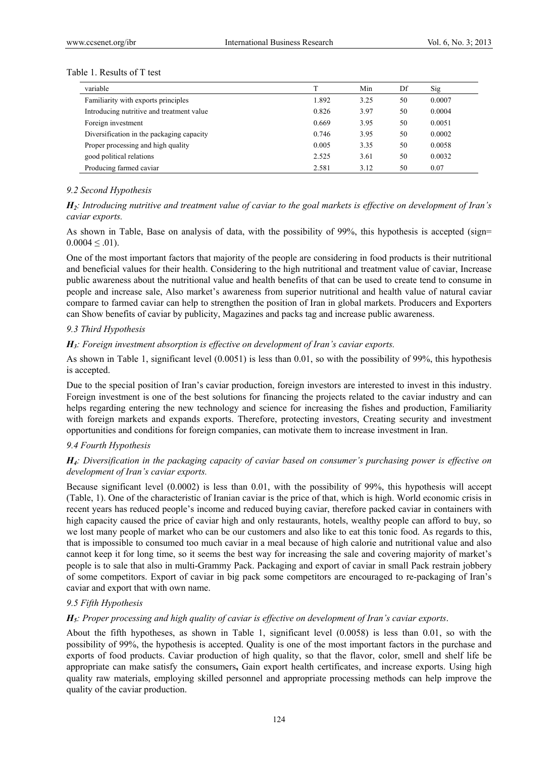#### Table 1. Results of T test

| variable                                  |       | Min  | Df | Sig    |
|-------------------------------------------|-------|------|----|--------|
| Familiarity with exports principles       | 1.892 | 3.25 | 50 | 0.0007 |
| Introducing nutritive and treatment value | 0.826 | 3.97 | 50 | 0.0004 |
| Foreign investment                        | 0.669 | 3.95 | 50 | 0.0051 |
| Diversification in the packaging capacity | 0.746 | 3.95 | 50 | 0.0002 |
| Proper processing and high quality        | 0.005 | 3.35 | 50 | 0.0058 |
| good political relations                  | 2.525 | 3.61 | 50 | 0.0032 |
| Producing farmed caviar                   | 2.581 | 3.12 | 50 | 0.07   |

# *9.2 Second Hypothesis*

*H2: Introducing nutritive and treatment value of caviar to the goal markets is effective on development of Iran's caviar exports.* 

As shown in Table, Base on analysis of data, with the possibility of 99%, this hypothesis is accepted (sign=  $0.0004 \leq .01$ ).

One of the most important factors that majority of the people are considering in food products is their nutritional and beneficial values for their health. Considering to the high nutritional and treatment value of caviar, Increase public awareness about the nutritional value and health benefits of that can be used to create tend to consume in people and increase sale, Also market's awareness from superior nutritional and health value of natural caviar compare to farmed caviar can help to strengthen the position of Iran in global markets. Producers and Exporters can Show benefits of caviar by publicity, Magazines and packs tag and increase public awareness.

# *9.3 Third Hypothesis*

#### *H3: Foreign investment absorption is effective on development of Iran's caviar exports.*

As shown in Table 1, significant level (0.0051) is less than 0.01, so with the possibility of 99%, this hypothesis is accepted.

Due to the special position of Iran's caviar production, foreign investors are interested to invest in this industry. Foreign investment is one of the best solutions for financing the projects related to the caviar industry and can helps regarding entering the new technology and science for increasing the fishes and production, Familiarity with foreign markets and expands exports. Therefore, protecting investors, Creating security and investment opportunities and conditions for foreign companies, can motivate them to increase investment in Iran.

# *9.4 Fourth Hypothesis*

# *H4: Diversification in the packaging capacity of caviar based on consumer's purchasing power is effective on development of Iran's caviar exports.*

Because significant level (0.0002) is less than 0.01, with the possibility of 99%, this hypothesis will accept (Table, 1). One of the characteristic of Iranian caviar is the price of that, which is high. World economic crisis in recent years has reduced people's income and reduced buying caviar, therefore packed caviar in containers with high capacity caused the price of caviar high and only restaurants, hotels, wealthy people can afford to buy, so we lost many people of market who can be our customers and also like to eat this tonic food. As regards to this, that is impossible to consumed too much caviar in a meal because of high calorie and nutritional value and also cannot keep it for long time, so it seems the best way for increasing the sale and covering majority of market's people is to sale that also in multi-Grammy Pack. Packaging and export of caviar in small Pack restrain jobbery of some competitors. Export of caviar in big pack some competitors are encouraged to re-packaging of Iran's caviar and export that with own name.

# *9.5 Fifth Hypothesis*

#### *H5: Proper processing and high quality of caviar is effective on development of Iran's caviar exports*.

About the fifth hypotheses, as shown in Table 1, significant level (0.0058) is less than 0.01, so with the possibility of 99%, the hypothesis is accepted. Quality is one of the most important factors in the purchase and exports of food products. Caviar production of high quality, so that the flavor, color, smell and shelf life be appropriate can make satisfy the consumers**,** Gain export health certificates, and increase exports. Using high quality raw materials, employing skilled personnel and appropriate processing methods can help improve the quality of the caviar production.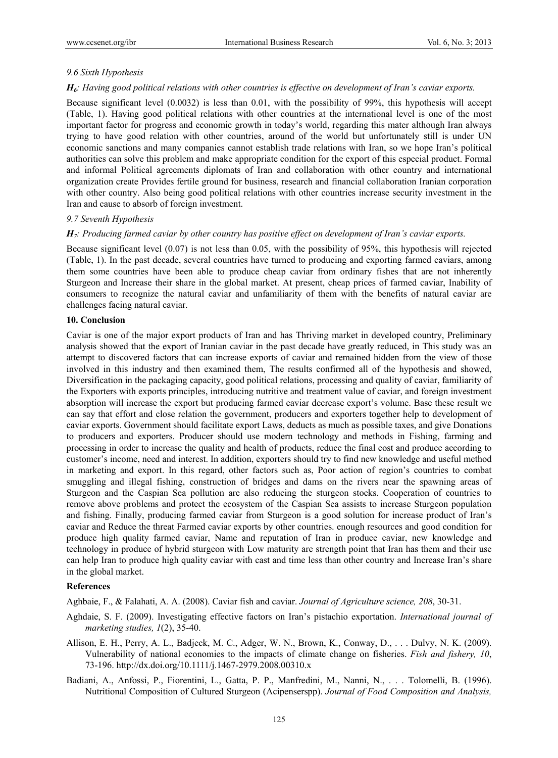# *9.6 Sixth Hypothesis*

#### *H6: Having good political relations with other countries is effective on development of Iran's caviar exports.*

Because significant level (0.0032) is less than 0.01, with the possibility of 99%, this hypothesis will accept (Table, 1). Having good political relations with other countries at the international level is one of the most important factor for progress and economic growth in today's world, regarding this mater although Iran always trying to have good relation with other countries, around of the world but unfortunately still is under UN economic sanctions and many companies cannot establish trade relations with Iran, so we hope Iran's political authorities can solve this problem and make appropriate condition for the export of this especial product. Formal and informal Political agreements diplomats of Iran and collaboration with other country and international organization create Provides fertile ground for business, research and financial collaboration Iranian corporation with other country. Also being good political relations with other countries increase security investment in the Iran and cause to absorb of foreign investment.

# *9.7 Seventh Hypothesis*

# *H7: Producing farmed caviar by other country has positive effect on development of Iran's caviar exports.*

Because significant level (0.07) is not less than 0.05, with the possibility of 95%, this hypothesis will rejected (Table, 1). In the past decade, several countries have turned to producing and exporting farmed caviars, among them some countries have been able to produce cheap caviar from ordinary fishes that are not inherently Sturgeon and Increase their share in the global market. At present, cheap prices of farmed caviar, Inability of consumers to recognize the natural caviar and unfamiliarity of them with the benefits of natural caviar are challenges facing natural caviar.

# **10. Conclusion**

Caviar is one of the major export products of Iran and has Thriving market in developed country, Preliminary analysis showed that the export of Iranian caviar in the past decade have greatly reduced, in This study was an attempt to discovered factors that can increase exports of caviar and remained hidden from the view of those involved in this industry and then examined them, The results confirmed all of the hypothesis and showed, Diversification in the packaging capacity, good political relations, processing and quality of caviar, familiarity of the Exporters with exports principles, introducing nutritive and treatment value of caviar, and foreign investment absorption will increase the export but producing farmed caviar decrease export's volume. Base these result we can say that effort and close relation the government, producers and exporters together help to development of caviar exports. Government should facilitate export Laws, deducts as much as possible taxes, and give Donations to producers and exporters. Producer should use modern technology and methods in Fishing, farming and processing in order to increase the quality and health of products, reduce the final cost and produce according to customer's income, need and interest. In addition, exporters should try to find new knowledge and useful method in marketing and export. In this regard, other factors such as, Poor action of region's countries to combat smuggling and illegal fishing, construction of bridges and dams on the rivers near the spawning areas of Sturgeon and the Caspian Sea pollution are also reducing the sturgeon stocks. Cooperation of countries to remove above problems and protect the ecosystem of the Caspian Sea assists to increase Sturgeon population and fishing. Finally, producing farmed caviar from Sturgeon is a good solution for increase product of Iran's caviar and Reduce the threat Farmed caviar exports by other countries. enough resources and good condition for produce high quality farmed caviar, Name and reputation of Iran in produce caviar, new knowledge and technology in produce of hybrid sturgeon with Low maturity are strength point that Iran has them and their use can help Iran to produce high quality caviar with cast and time less than other country and Increase Iran's share in the global market.

#### **References**

Aghbaie, F., & Falahati, A. A. (2008). Caviar fish and caviar. *Journal of Agriculture science, 208*, 30-31.

- Aghdaie, S. F. (2009). Investigating effective factors on Iran's pistachio exportation. *International journal of marketing studies, 1*(2), 35-40.
- Allison, E. H., Perry, A. L., Badjeck, M. C., Adger, W. N., Brown, K., Conway, D., . . . Dulvy, N. K. (2009). Vulnerability of national economies to the impacts of climate change on fisheries. *Fish and fishery, 10*, 73-196. http://dx.doi.org/10.1111/j.1467-2979.2008.00310.x
- Badiani, A., Anfossi, P., Fiorentini, L., Gatta, P. P., Manfredini, M., Nanni, N., . . . Tolomelli, B. (1996). Nutritional Composition of Cultured Sturgeon (Acipenserspp). *Journal of Food Composition and Analysis,*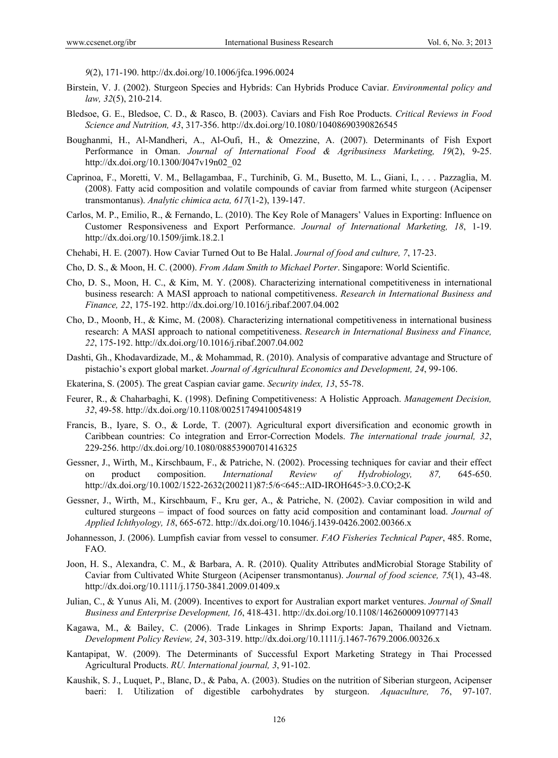*9*(2), 171-190. http://dx.doi.org/10.1006/jfca.1996.0024

- Birstein, V. J. (2002). Sturgeon Species and Hybrids: Can Hybrids Produce Caviar. *Environmental policy and law, 32*(5), 210-214.
- Bledsoe, G. E., Bledsoe, C. D., & Rasco, B. (2003). Caviars and Fish Roe Products. *Critical Reviews in Food Science and Nutrition, 43*, 317-356. http://dx.doi.org/10.1080/10408690390826545
- Boughanmi, H., Al-Mandheri, A., Al-Oufi, H., & Omezzine, A. (2007). Determinants of Fish Export Performance in Oman. *Journal of International Food & Agribusiness Marketing, 19*(2), 9-25. http://dx.doi.org/10.1300/J047v19n02\_02
- Caprinoa, F., Moretti, V. M., Bellagambaa, F., Turchinib, G. M., Busetto, M. L., Giani, I., . . . Pazzaglia, M. (2008). Fatty acid composition and volatile compounds of caviar from farmed white sturgeon (Acipenser transmontanus). *Analytic chimica acta, 617*(1-2), 139-147.
- Carlos, M. P., Emilio, R., & Fernando, L. (2010). The Key Role of Managers' Values in Exporting: Influence on Customer Responsiveness and Export Performance. *Journal of International Marketing, 18*, 1-19. http://dx.doi.org/10.1509/jimk.18.2.1
- Chehabi, H. E. (2007). How Caviar Turned Out to Be Halal. *Journal of food and culture, 7*, 17-23.
- Cho, D. S., & Moon, H. C. (2000). *From Adam Smith to Michael Porter*. Singapore: World Scientific.
- Cho, D. S., Moon, H. C., & Kim, M. Y. (2008). Characterizing international competitiveness in international business research: A MASI approach to national competitiveness. *Research in International Business and Finance, 22*, 175-192. http://dx.doi.org/10.1016/j.ribaf.2007.04.002
- Cho, D., Moonb, H., & Kimc, M. (2008). Characterizing international competitiveness in international business research: A MASI approach to national competitiveness. *Research in International Business and Finance, 22*, 175-192. http://dx.doi.org/10.1016/j.ribaf.2007.04.002
- Dashti, Gh., Khodavardizade, M., & Mohammad, R. (2010). Analysis of comparative advantage and Structure of pistachio's export global market. *Journal of Agricultural Economics and Development, 24*, 99-106.
- Ekaterina, S. (2005). The great Caspian caviar game. *Security index, 13*, 55-78.
- Feurer, R., & Chaharbaghi, K. (1998). Defining Competitiveness: A Holistic Approach. *Management Decision, 32*, 49-58. http://dx.doi.org/10.1108/00251749410054819
- Francis, B., Iyare, S. O., & Lorde, T. (2007). Agricultural export diversification and economic growth in Caribbean countries: Co integration and Error-Correction Models. *The international trade journal, 32*, 229-256. http://dx.doi.org/10.1080/08853900701416325
- Gessner, J., Wirth, M., Kirschbaum, F., & Patriche, N. (2002). Processing techniques for caviar and their effect on product composition. *International Review of Hydrobiology, 87,* 645-650. http://dx.doi.org/10.1002/1522-2632(200211)87:5/6<645::AID-IROH645>3.0.CO;2-K
- Gessner, J., Wirth, M., Kirschbaum, F., Kru ger, A., & Patriche, N. (2002). Caviar composition in wild and cultured sturgeons – impact of food sources on fatty acid composition and contaminant load. *Journal of Applied Ichthyology, 18*, 665-672. http://dx.doi.org/10.1046/j.1439-0426.2002.00366.x
- Johannesson, J. (2006). Lumpfish caviar from vessel to consumer. *FAO Fisheries Technical Paper*, 485. Rome, FAO.
- Joon, H. S., Alexandra, C. M., & Barbara, A. R. (2010). Quality Attributes andMicrobial Storage Stability of Caviar from Cultivated White Sturgeon (Acipenser transmontanus). *Journal of food science, 75*(1), 43-48. http://dx.doi.org/10.1111/j.1750-3841.2009.01409.x
- Julian, C., & Yunus Ali, M. (2009). Incentives to export for Australian export market ventures. *Journal of Small Business and Enterprise Development, 16*, 418-431. http://dx.doi.org/10.1108/14626000910977143
- Kagawa, M., & Bailey, C. (2006). Trade Linkages in Shrimp Exports: Japan, Thailand and Vietnam. *Development Policy Review, 24*, 303-319. http://dx.doi.org/10.1111/j.1467-7679.2006.00326.x
- Kantapipat, W. (2009). The Determinants of Successful Export Marketing Strategy in Thai Processed Agricultural Products. *RU. International journal, 3*, 91-102.
- Kaushik, S. J., Luquet, P., Blanc, D., & Paba, A. (2003). Studies on the nutrition of Siberian sturgeon, Acipenser baeri: I. Utilization of digestible carbohydrates by sturgeon. *Aquaculture, 76*, 97-107.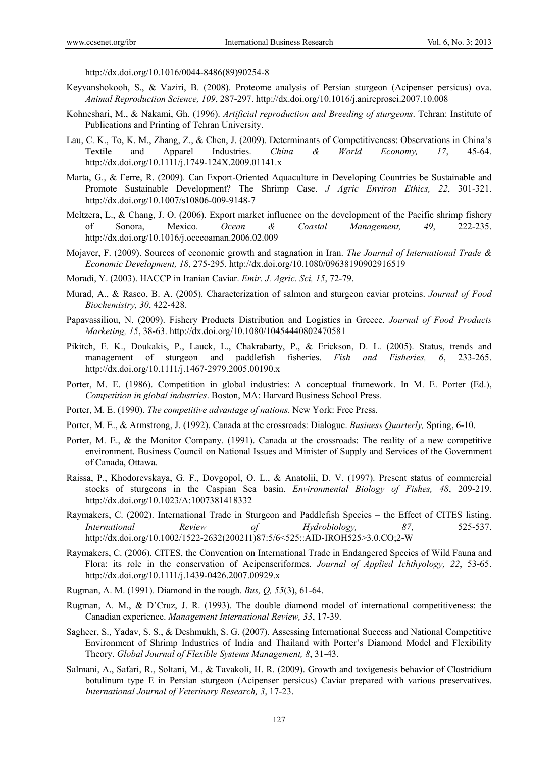http://dx.doi.org/10.1016/0044-8486(89)90254-8

- Keyvanshokooh, S., & Vaziri, B. (2008). Proteome analysis of Persian sturgeon (Acipenser persicus) ova. *Animal Reproduction Science, 109*, 287-297. http://dx.doi.org/10.1016/j.anireprosci.2007.10.008
- Kohneshari, M., & Nakami, Gh. (1996). *Artificial reproduction and Breeding of sturgeons*. Tehran: Institute of Publications and Printing of Tehran University.
- Lau, C. K., To, K. M., Zhang, Z., & Chen, J. (2009). Determinants of Competitiveness: Observations in China's Textile and Apparel Industries. *China & World Economy, 17*, 45-64. http://dx.doi.org/10.1111/j.1749-124X.2009.01141.x
- Marta, G., & Ferre, R. (2009). Can Export-Oriented Aquaculture in Developing Countries be Sustainable and Promote Sustainable Development? The Shrimp Case. *J Agric Environ Ethics, 22*, 301-321. http://dx.doi.org/10.1007/s10806-009-9148-7
- Meltzera, L., & Chang, J. O. (2006). Export market influence on the development of the Pacific shrimp fishery of Sonora, Mexico. *Ocean & Coastal Management, 49*, 222-235. http://dx.doi.org/10.1016/j.ocecoaman.2006.02.009
- Mojaver, F. (2009). Sources of economic growth and stagnation in Iran. *The Journal of International Trade & Economic Development, 18*, 275-295. http://dx.doi.org/10.1080/09638190902916519
- Moradi, Y. (2003). HACCP in Iranian Caviar. *Emir. J. Agric. Sci, 15*, 72-79.
- Murad, A., & Rasco, B. A. (2005). Characterization of salmon and sturgeon caviar proteins. *Journal of Food Biochemistry, 30*, 422-428.
- Papavassiliou, N. (2009). Fishery Products Distribution and Logistics in Greece. *Journal of Food Products Marketing, 15*, 38-63. http://dx.doi.org/10.1080/10454440802470581
- Pikitch, E. K., Doukakis, P., Lauck, L., Chakrabarty, P., & Erickson, D. L. (2005). Status, trends and management of sturgeon and paddlefish fisheries. *Fish and Fisheries, 6*, 233-265. http://dx.doi.org/10.1111/j.1467-2979.2005.00190.x
- Porter, M. E. (1986). Competition in global industries: A conceptual framework. In M. E. Porter (Ed.), *Competition in global industries*. Boston, MA: Harvard Business School Press.
- Porter, M. E. (1990). *The competitive advantage of nations*. New York: Free Press.
- Porter, M. E., & Armstrong, J. (1992). Canada at the crossroads: Dialogue. *Business Quarterly,* Spring, 6-10.
- Porter, M. E., & the Monitor Company. (1991). Canada at the crossroads: The reality of a new competitive environment. Business Council on National Issues and Minister of Supply and Services of the Government of Canada, Ottawa.
- Raissa, P., Khodorevskaya, G. F., Dovgopol, O. L., & Anatolii, D. V. (1997). Present status of commercial stocks of sturgeons in the Caspian Sea basin. *Environmental Biology of Fishes, 48*, 209-219. http://dx.doi.org/10.1023/A:1007381418332
- Raymakers, C. (2002). International Trade in Sturgeon and Paddlefish Species the Effect of CITES listing. *International Review of Hydrobiology, 87*, 525-537. http://dx.doi.org/10.1002/1522-2632(200211)87:5/6<525::AID-IROH525>3.0.CO;2-W
- Raymakers, C. (2006). CITES, the Convention on International Trade in Endangered Species of Wild Fauna and Flora: its role in the conservation of Acipenseriformes. *Journal of Applied Ichthyology, 22*, 53-65. http://dx.doi.org/10.1111/j.1439-0426.2007.00929.x
- Rugman, A. M. (1991). Diamond in the rough. *Bus, Q, 55*(3), 61-64.
- Rugman, A. M., & D'Cruz, J. R. (1993). The double diamond model of international competitiveness: the Canadian experience. *Management International Review, 33*, 17-39.
- Sagheer, S., Yadav, S. S., & Deshmukh, S. G. (2007). Assessing International Success and National Competitive Environment of Shrimp Industries of India and Thailand with Porter's Diamond Model and Flexibility Theory. *Global Journal of Flexible Systems Management, 8*, 31-43.
- Salmani, A., Safari, R., Soltani, M., & Tavakoli, H. R. (2009). Growth and toxigenesis behavior of Clostridium botulinum type E in Persian sturgeon (Acipenser persicus) Caviar prepared with various preservatives. *International Journal of Veterinary Research, 3*, 17-23.